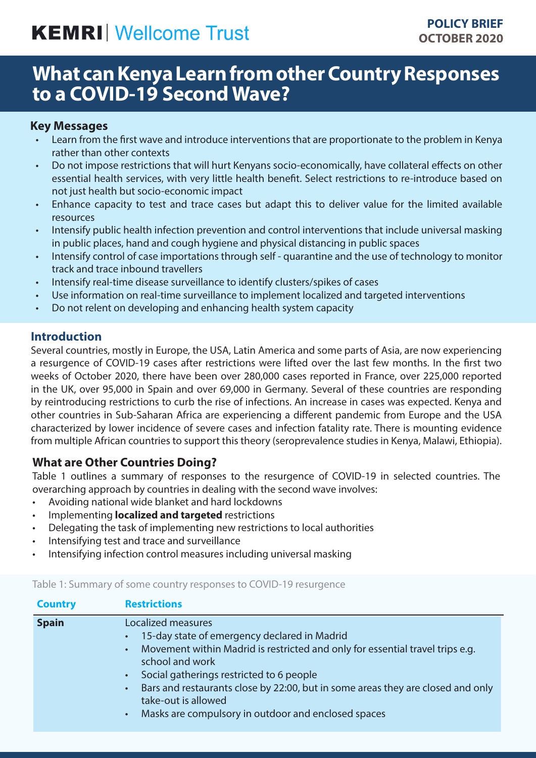# **KEMRI** Wellcome Trust

## **What can Kenya Learn from other Country Responses to a COVID-19 Second Wave?**

#### **Key Messages**

- Learn from the first wave and introduce interventions that are proportionate to the problem in Kenya rather than other contexts
- Do not impose restrictions that will hurt Kenyans socio-economically, have collateral effects on other essential health services, with very little health benefit. Select restrictions to re-introduce based on not just health but socio-economic impact
- Enhance capacity to test and trace cases but adapt this to deliver value for the limited available resources
- Intensify public health infection prevention and control interventions that include universal masking in public places, hand and cough hygiene and physical distancing in public spaces
- Intensify control of case importations through self quarantine and the use of technology to monitor track and trace inbound travellers
- Intensify real-time disease surveillance to identify clusters/spikes of cases
- Use information on real-time surveillance to implement localized and targeted interventions
- Do not relent on developing and enhancing health system capacity

#### **Introduction**

Several countries, mostly in Europe, the USA, Latin America and some parts of Asia, are now experiencing a resurgence of COVID-19 cases after restrictions were lifted over the last few months. In the first two weeks of October 2020, there have been over 280,000 cases reported in France, over 225,000 reported in the UK, over 95,000 in Spain and over 69,000 in Germany. Several of these countries are responding by reintroducing restrictions to curb the rise of infections. An increase in cases was expected. Kenya and other countries in Sub-Saharan Africa are experiencing a different pandemic from Europe and the USA characterized by lower incidence of severe cases and infection fatality rate. There is mounting evidence from multiple African countries to support this theory (seroprevalence studies in Kenya, Malawi, Ethiopia).

#### **What are Other Countries Doing?**

Table 1 outlines a summary of responses to the resurgence of COVID-19 in selected countries. The overarching approach by countries in dealing with the second wave involves:

- Avoiding national wide blanket and hard lockdowns
- Implementing **localized and targeted** restrictions
- Delegating the task of implementing new restrictions to local authorities
- Intensifying test and trace and surveillance
- Intensifying infection control measures including universal masking

| <b>Country</b> | <b>Restrictions</b>                                                                                                                                                                                                                                                                                                                                                                                               |
|----------------|-------------------------------------------------------------------------------------------------------------------------------------------------------------------------------------------------------------------------------------------------------------------------------------------------------------------------------------------------------------------------------------------------------------------|
| <b>Spain</b>   | Localized measures<br>15-day state of emergency declared in Madrid<br>Movement within Madrid is restricted and only for essential travel trips e.g.<br>$\bullet$ .<br>school and work<br>Social gatherings restricted to 6 people<br>Bars and restaurants close by 22:00, but in some areas they are closed and only<br>$\bullet$ .<br>take-out is allowed<br>Masks are compulsory in outdoor and enclosed spaces |

Table 1: Summary of some country responses to COVID-19 resurgence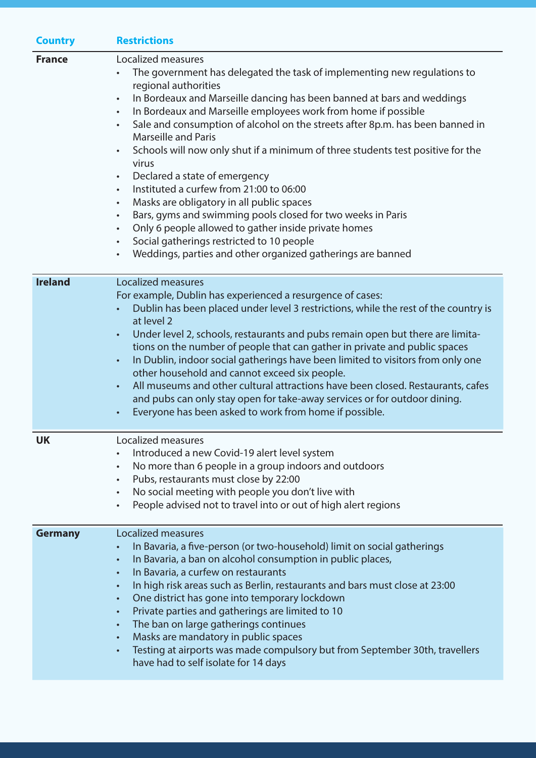| <b>Country</b> | <b>Restrictions</b>                                                                                                                                                                                                                                                                                                                                                                                                                                                                                                                                                                                                                                                                                                                                                                                                                                                                                                                                                         |
|----------------|-----------------------------------------------------------------------------------------------------------------------------------------------------------------------------------------------------------------------------------------------------------------------------------------------------------------------------------------------------------------------------------------------------------------------------------------------------------------------------------------------------------------------------------------------------------------------------------------------------------------------------------------------------------------------------------------------------------------------------------------------------------------------------------------------------------------------------------------------------------------------------------------------------------------------------------------------------------------------------|
| <b>France</b>  | Localized measures<br>The government has delegated the task of implementing new regulations to<br>regional authorities<br>In Bordeaux and Marseille dancing has been banned at bars and weddings<br>$\bullet$<br>In Bordeaux and Marseille employees work from home if possible<br>$\bullet$<br>Sale and consumption of alcohol on the streets after 8p.m. has been banned in<br>$\bullet$<br><b>Marseille and Paris</b><br>Schools will now only shut if a minimum of three students test positive for the<br>$\bullet$<br>virus<br>Declared a state of emergency<br>$\bullet$<br>Instituted a curfew from 21:00 to 06:00<br>$\bullet$<br>Masks are obligatory in all public spaces<br>$\bullet$<br>Bars, gyms and swimming pools closed for two weeks in Paris<br>$\bullet$<br>Only 6 people allowed to gather inside private homes<br>$\bullet$<br>Social gatherings restricted to 10 people<br>$\bullet$<br>Weddings, parties and other organized gatherings are banned |
| <b>Ireland</b> | Localized measures<br>For example, Dublin has experienced a resurgence of cases:<br>Dublin has been placed under level 3 restrictions, while the rest of the country is<br>at level 2<br>Under level 2, schools, restaurants and pubs remain open but there are limita-<br>$\bullet$<br>tions on the number of people that can gather in private and public spaces<br>In Dublin, indoor social gatherings have been limited to visitors from only one<br>$\bullet$<br>other household and cannot exceed six people.<br>All museums and other cultural attractions have been closed. Restaurants, cafes<br>and pubs can only stay open for take-away services or for outdoor dining.<br>Everyone has been asked to work from home if possible.                                                                                                                                                                                                                               |
| <b>UK</b>      | Localized measures<br>Introduced a new Covid-19 alert level system<br>No more than 6 people in a group indoors and outdoors<br>$\bullet$<br>Pubs, restaurants must close by 22:00<br>$\bullet$<br>No social meeting with people you don't live with<br>$\bullet$<br>People advised not to travel into or out of high alert regions                                                                                                                                                                                                                                                                                                                                                                                                                                                                                                                                                                                                                                          |
| <b>Germany</b> | Localized measures<br>In Bavaria, a five-person (or two-household) limit on social gatherings<br>In Bavaria, a ban on alcohol consumption in public places,<br>$\bullet$<br>In Bavaria, a curfew on restaurants<br>$\bullet$<br>In high risk areas such as Berlin, restaurants and bars must close at 23:00<br>$\bullet$<br>One district has gone into temporary lockdown<br>$\bullet$<br>Private parties and gatherings are limited to 10<br>$\bullet$<br>The ban on large gatherings continues<br>$\bullet$<br>Masks are mandatory in public spaces<br>$\bullet$<br>Testing at airports was made compulsory but from September 30th, travellers<br>$\bullet$<br>have had to self isolate for 14 days                                                                                                                                                                                                                                                                      |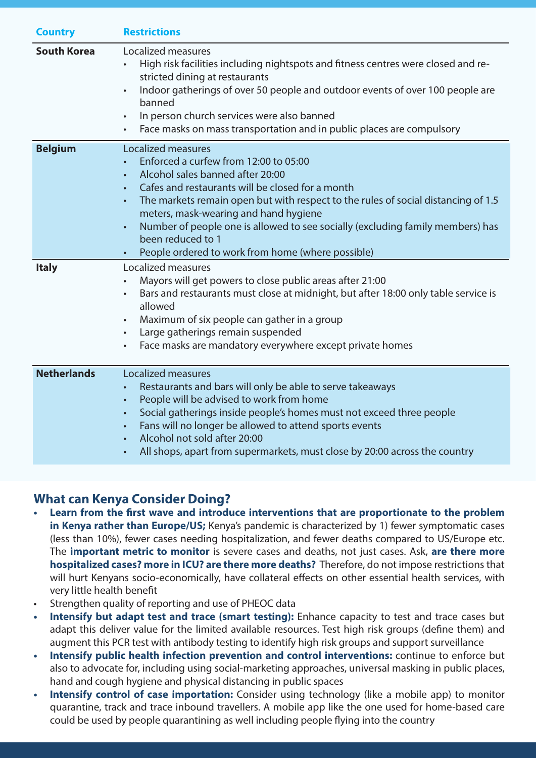| <b>Country</b>     | <b>Restrictions</b>                                                                                                                                                                                                                                                                                                                                                                                                                                                                                                   |
|--------------------|-----------------------------------------------------------------------------------------------------------------------------------------------------------------------------------------------------------------------------------------------------------------------------------------------------------------------------------------------------------------------------------------------------------------------------------------------------------------------------------------------------------------------|
| <b>South Korea</b> | Localized measures<br>High risk facilities including nightspots and fitness centres were closed and re-<br>$\bullet$<br>stricted dining at restaurants<br>Indoor gatherings of over 50 people and outdoor events of over 100 people are<br>$\bullet$<br>banned<br>In person church services were also banned<br>$\bullet$<br>Face masks on mass transportation and in public places are compulsory<br>$\bullet$                                                                                                       |
| <b>Belgium</b>     | <b>Localized measures</b><br>Enforced a curfew from 12:00 to 05:00<br>Alcohol sales banned after 20:00<br>$\bullet$<br>Cafes and restaurants will be closed for a month<br>$\bullet$<br>The markets remain open but with respect to the rules of social distancing of 1.5<br>$\bullet$<br>meters, mask-wearing and hand hygiene<br>Number of people one is allowed to see socially (excluding family members) has<br>$\bullet$<br>been reduced to 1<br>People ordered to work from home (where possible)<br>$\bullet$ |
| <b>Italy</b>       | Localized measures<br>Mayors will get powers to close public areas after 21:00<br>$\bullet$<br>Bars and restaurants must close at midnight, but after 18:00 only table service is<br>$\bullet$<br>allowed<br>Maximum of six people can gather in a group<br>$\bullet$<br>Large gatherings remain suspended<br>$\bullet$<br>Face masks are mandatory everywhere except private homes<br>$\bullet$                                                                                                                      |
| <b>Netherlands</b> | <b>Localized measures</b><br>Restaurants and bars will only be able to serve takeaways<br>$\bullet$<br>People will be advised to work from home<br>$\bullet$<br>Social gatherings inside people's homes must not exceed three people<br>$\bullet$<br>Fans will no longer be allowed to attend sports events<br>$\bullet$<br>Alcohol not sold after 20:00<br>$\bullet$<br>All shops, apart from supermarkets, must close by 20:00 across the country<br>$\bullet$                                                      |

### **What can Kenya Consider Doing?**

- **• Learn from the first wave and introduce interventions that are proportionate to the problem in Kenya rather than Europe/US;** Kenya's pandemic is characterized by 1) fewer symptomatic cases (less than 10%), fewer cases needing hospitalization, and fewer deaths compared to US/Europe etc. The **important metric to monitor** is severe cases and deaths, not just cases. Ask, **are there more hospitalized cases? more in ICU? are there more deaths?** Therefore, do not impose restrictions that will hurt Kenyans socio-economically, have collateral effects on other essential health services, with very little health benefit
- Strengthen quality of reporting and use of PHEOC data
- **Intensify but adapt test and trace (smart testing):** Enhance capacity to test and trace cases but adapt this deliver value for the limited available resources. Test high risk groups (define them) and augment this PCR test with antibody testing to identify high risk groups and support surveillance
- **• Intensify public health infection prevention and control interventions:** continue to enforce but also to advocate for, including using social-marketing approaches, universal masking in public places, hand and cough hygiene and physical distancing in public spaces
- **Intensify control of case importation:** Consider using technology (like a mobile app) to monitor quarantine, track and trace inbound travellers. A mobile app like the one used for home-based care could be used by people quarantining as well including people flying into the country